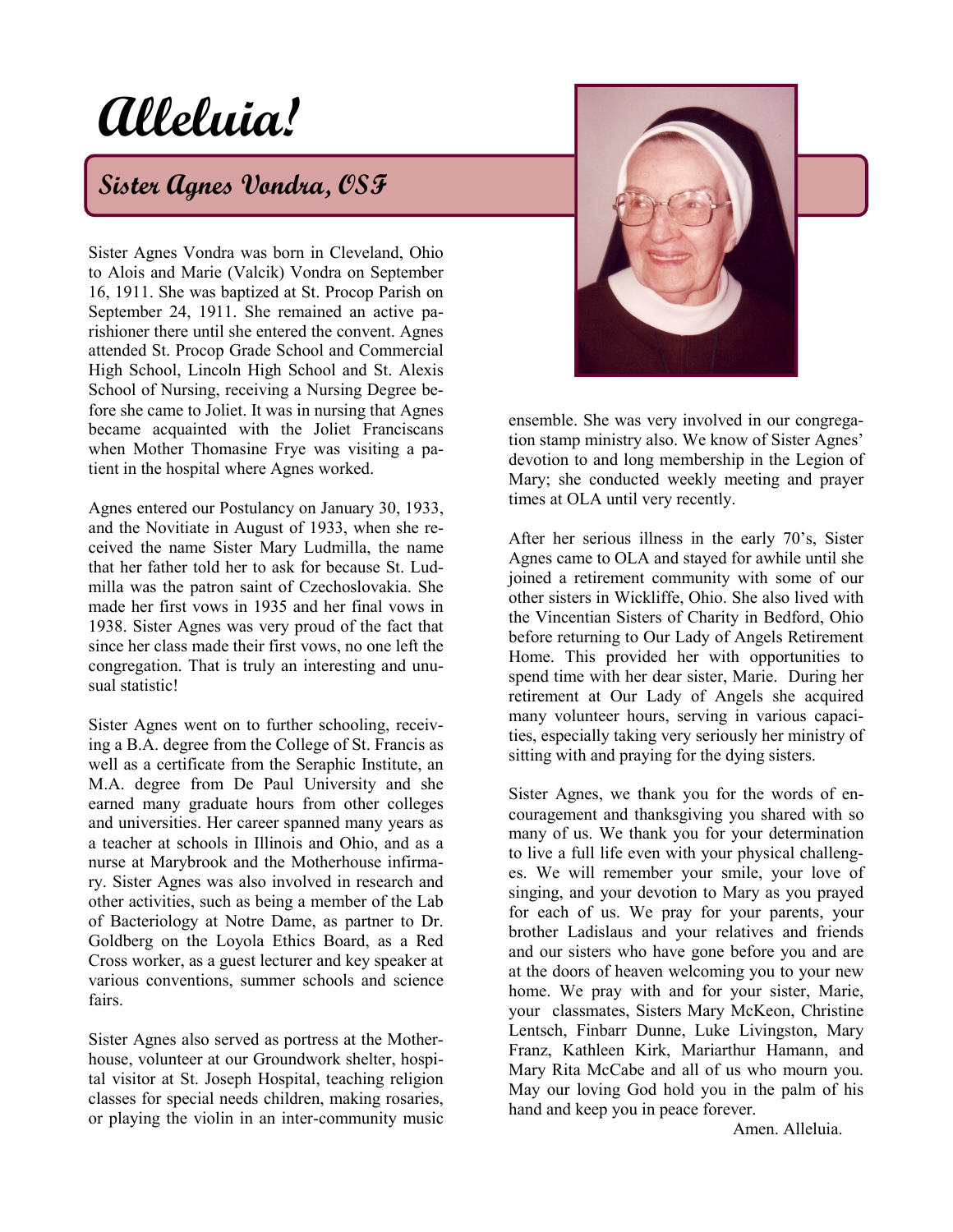# **Alleluia!**

# **Sister Agnes Vondra, OSF**

Sister Agnes Vondra was born in Cleveland, Ohio to Alois and Marie (Valcik) Vondra on September 16, 1911. She was baptized at St. Procop Parish on September 24, 1911. She remained an active parishioner there until she entered the convent. Agnes attended St. Procop Grade School and Commercial High School, Lincoln High School and St. Alexis School of Nursing, receiving a Nursing Degree before she came to Joliet. It was in nursing that Agnes became acquainted with the Joliet Franciscans when Mother Thomasine Frye was visiting a patient in the hospital where Agnes worked.

Agnes entered our Postulancy on January 30, 1933, and the Novitiate in August of 1933, when she received the name Sister Mary Ludmilla, the name that her father told her to ask for because St. Ludmilla was the patron saint of Czechoslovakia. She made her first vows in 1935 and her final vows in 1938. Sister Agnes was very proud of the fact that since her class made their first vows, no one left the congregation. That is truly an interesting and unusual statistic!

Sister Agnes went on to further schooling, receiving a B.A. degree from the College of St. Francis as well as a certificate from the Seraphic Institute, an M.A. degree from De Paul University and she earned many graduate hours from other colleges and universities. Her career spanned many years as a teacher at schools in Illinois and Ohio, and as a nurse at Marybrook and the Motherhouse infirmary. Sister Agnes was also involved in research and other activities, such as being a member of the Lab of Bacteriology at Notre Dame, as partner to Dr. Goldberg on the Loyola Ethics Board, as a Red Cross worker, as a guest lecturer and key speaker at various conventions, summer schools and science fairs.

Sister Agnes also served as portress at the Motherhouse, volunteer at our Groundwork shelter, hospital visitor at St. Joseph Hospital, teaching religion classes for special needs children, making rosaries, or playing the violin in an inter-community music



ensemble. She was very involved in our congregation stamp ministry also. We know of Sister Agnes' devotion to and long membership in the Legion of Mary; she conducted weekly meeting and prayer times at OLA until very recently.

After her serious illness in the early 70's, Sister Agnes came to OLA and stayed for awhile until she joined a retirement community with some of our other sisters in Wickliffe, Ohio. She also lived with the Vincentian Sisters of Charity in Bedford, Ohio before returning to Our Lady of Angels Retirement Home. This provided her with opportunities to spend time with her dear sister, Marie. During her retirement at Our Lady of Angels she acquired many volunteer hours, serving in various capacities, especially taking very seriously her ministry of sitting with and praying for the dying sisters.

Sister Agnes, we thank you for the words of encouragement and thanksgiving you shared with so many of us. We thank you for your determination to live a full life even with your physical challenges. We will remember your smile, your love of singing, and your devotion to Mary as you prayed for each of us. We pray for your parents, your brother Ladislaus and your relatives and friends and our sisters who have gone before you and are at the doors of heaven welcoming you to your new home. We pray with and for your sister, Marie, your classmates, Sisters Mary McKeon, Christine Lentsch, Finbarr Dunne, Luke Livingston, Mary Franz, Kathleen Kirk, Mariarthur Hamann, and Mary Rita McCabe and all of us who mourn you. May our loving God hold you in the palm of his hand and keep you in peace forever.

Amen. Alleluia.